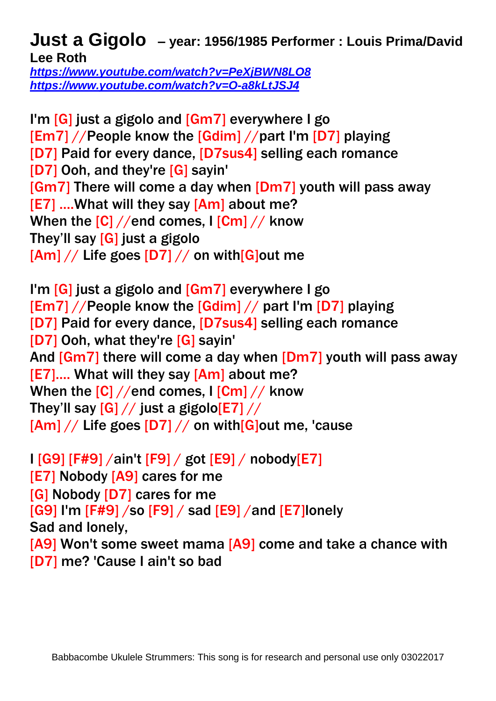## **Just a Gigolo – year: 1956/1985 Performer : Louis Prima/David Lee Roth**

*<https://www.youtube.com/watch?v=PeXjBWN8LO8> <https://www.youtube.com/watch?v=O-a8kLtJSJ4>*

I'm [G] just a gigolo and [Gm7] everywhere I go [Em7] //People know the [Gdim] //part I'm [D7] playing [D7] Paid for every dance, [D7sus4] selling each romance [D7] Ooh, and they're [G] sayin' [Gm7] There will come a day when [Dm7] youth will pass away [E7] ….What will they say [Am] about me? When the  $[C]/\ell$  end comes, I  $[Cm]/\ell$  know They'll say [G] just a gigolo  $[Am]/$  Life goes  $[D7]/$  on with  $[G]$ out me

I'm [G] just a gigolo and [Gm7] everywhere I go [Em7] //People know the [Gdim] // part I'm [D7] playing [D7] Paid for every dance, [D7sus4] selling each romance [D7] Ooh, what they're [G] sayin' And [Gm7] there will come a day when [Dm7] youth will pass away [E7].... What will they say [Am] about me? When the  $[C]/\ell$  and comes, I  $[Cm]/\ell$  know They'll say  $[G]//$  just a gigolo $[E7]//$  $[Am]/$  Life goes  $[D7]$  // on with  $[G]$ out me, 'cause

I [G9] [F#9] /ain't [F9] / got [E9] / nobody[E7] [E7] Nobody [A9] cares for me [G] Nobody [D7] cares for me  $[G9]$  I'm  $[F#9]$  /so  $[F9]$  / sad  $[E9]$  /and  $[E7]$ lonely Sad and lonely, [A9] Won't some sweet mama [A9] come and take a chance with [D7] me? 'Cause I ain't so bad